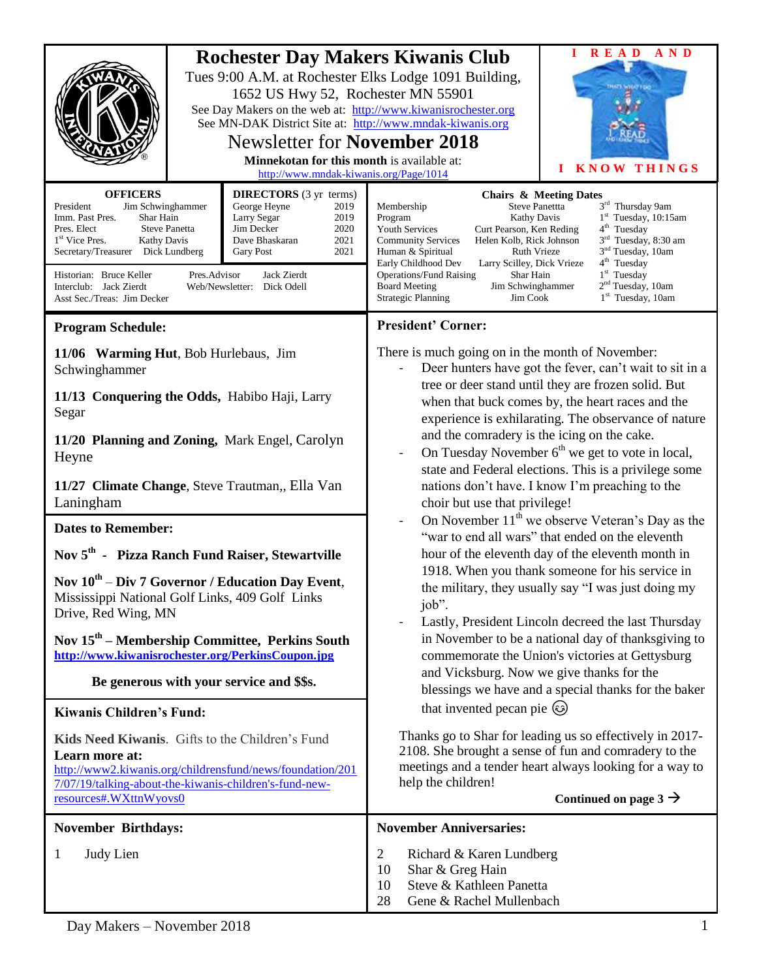|                                                                                                                                                                                                                                                                                                                                                                                                                                                                                                                                | <b>Rochester Day Makers Kiwanis Club</b><br>Tues 9:00 A.M. at Rochester Elks Lodge 1091 Building,<br>1652 US Hwy 52, Rochester MN 55901<br>See Day Makers on the web at: http://www.kiwanisrochester.org<br>See MN-DAK District Site at: http://www.mndak-kiwanis.org<br><b>Newsletter for November 2018</b><br>Minnekotan for this month is available at:<br>http://www.mndak-kiwanis.org/Page/1014 |  | A N D<br><b>READ</b><br><b>KNOW THINGS</b>                                                                                                                                                                                                                                                                                                                                                                                                                                                                                                                                                                                                                                                                                                         |  |
|--------------------------------------------------------------------------------------------------------------------------------------------------------------------------------------------------------------------------------------------------------------------------------------------------------------------------------------------------------------------------------------------------------------------------------------------------------------------------------------------------------------------------------|------------------------------------------------------------------------------------------------------------------------------------------------------------------------------------------------------------------------------------------------------------------------------------------------------------------------------------------------------------------------------------------------------|--|----------------------------------------------------------------------------------------------------------------------------------------------------------------------------------------------------------------------------------------------------------------------------------------------------------------------------------------------------------------------------------------------------------------------------------------------------------------------------------------------------------------------------------------------------------------------------------------------------------------------------------------------------------------------------------------------------------------------------------------------------|--|
| <b>OFFICERS</b><br><b>DIRECTORS</b> (3 yr terms)<br>President<br>Jim Schwinghammer<br>George Heyne<br>2019<br>Shar Hain<br>Imm. Past Pres.<br>Larry Segar<br>2019<br>Jim Decker<br>2020<br>Pres. Elect<br><b>Steve Panetta</b><br>1 <sup>st</sup> Vice Pres.<br><b>Kathy Davis</b><br>Dave Bhaskaran<br>2021<br>2021<br>Secretary/Treasurer Dick Lundberg<br><b>Gary Post</b><br>Historian: Bruce Keller<br>Pres.Advisor<br>Jack Zierdt<br>Interclub: Jack Zierdt<br>Web/Newsletter: Dick Odell<br>Asst Sec./Treas: Jim Decker |                                                                                                                                                                                                                                                                                                                                                                                                      |  | <b>Chairs &amp; Meeting Dates</b><br>3rd Thursday 9am<br>Steve Panettta<br>Membership<br>$1st$ Tuesday, 10:15am<br>Kathy Davis<br>Program<br>4 <sup>th</sup> Tuesday<br><b>Youth Services</b><br>Curt Pearson, Ken Reding<br>3 <sup>rd</sup> Tuesday, 8:30 am<br><b>Community Services</b><br>Helen Kolb, Rick Johnson<br>3 <sup>nd</sup> Tuesday, 10am<br>Human & Spiritual<br>Ruth Vrieze<br>4 <sup>th</sup> Tuesday<br>Early Childhood Dev<br>Larry Scilley, Dick Vrieze<br>$1st$ Tuesday<br><b>Operations/Fund Raising</b><br>Shar Hain<br>2 <sup>nd</sup> Tuesday, 10am<br>Jim Schwinghammer<br><b>Board Meeting</b><br><b>Strategic Planning</b><br>$1st$ Tuesday, 10am<br>Jim Cook                                                          |  |
| <b>Program Schedule:</b>                                                                                                                                                                                                                                                                                                                                                                                                                                                                                                       |                                                                                                                                                                                                                                                                                                                                                                                                      |  | <b>President' Corner:</b>                                                                                                                                                                                                                                                                                                                                                                                                                                                                                                                                                                                                                                                                                                                          |  |
| 11/06 Warming Hut, Bob Hurlebaus, Jim<br>Schwinghammer<br>11/13 Conquering the Odds, Habibo Haji, Larry<br>Segar<br>11/20 Planning and Zoning, Mark Engel, Carolyn<br>Heyne<br>11/27 Climate Change, Steve Trautman,, Ella Van<br>Laningham<br><b>Dates to Remember:</b><br>Nov 5 <sup>th</sup> - Pizza Ranch Fund Raiser, Stewartville<br>Nov 10 <sup>th</sup> – Div 7 Governor / Education Day Event,                                                                                                                        |                                                                                                                                                                                                                                                                                                                                                                                                      |  | There is much going on in the month of November:<br>Deer hunters have got the fever, can't wait to sit in a<br>tree or deer stand until they are frozen solid. But<br>when that buck comes by, the heart races and the<br>experience is exhilarating. The observance of nature<br>and the comradery is the icing on the cake.<br>On Tuesday November $6th$ we get to vote in local,<br>state and Federal elections. This is a privilege some<br>nations don't have. I know I'm preaching to the<br>choir but use that privilege!<br>On November $11th$ we observe Veteran's Day as the<br>"war to end all wars" that ended on the eleventh<br>hour of the eleventh day of the eleventh month in<br>1918. When you thank someone for his service in |  |
| Mississippi National Golf Links, 409 Golf Links<br>Drive, Red Wing, MN<br>Nov 15 <sup>th</sup> – Membership Committee, Perkins South<br>http://www.kiwanisrochester.org/PerkinsCoupon.jpg<br>Be generous with your service and \$\$s.                                                                                                                                                                                                                                                                                          |                                                                                                                                                                                                                                                                                                                                                                                                      |  | the military, they usually say "I was just doing my<br>job".<br>Lastly, President Lincoln decreed the last Thursday<br>in November to be a national day of thanksgiving to<br>commemorate the Union's victories at Gettysburg<br>and Vicksburg. Now we give thanks for the<br>blessings we have and a special thanks for the baker                                                                                                                                                                                                                                                                                                                                                                                                                 |  |
| <b>Kiwanis Children's Fund:</b>                                                                                                                                                                                                                                                                                                                                                                                                                                                                                                |                                                                                                                                                                                                                                                                                                                                                                                                      |  | that invented pecan pie (3)<br>Thanks go to Shar for leading us so effectively in 2017-<br>2108. She brought a sense of fun and comradery to the<br>meetings and a tender heart always looking for a way to<br>help the children!<br>Continued on page $3 \rightarrow$                                                                                                                                                                                                                                                                                                                                                                                                                                                                             |  |
| Kids Need Kiwanis. Gifts to the Children's Fund<br>Learn more at:<br>http://www2.kiwanis.org/childrensfund/news/foundation/201<br>7/07/19/talking-about-the-kiwanis-children's-fund-new-<br>resources#.WXttnWyovs0                                                                                                                                                                                                                                                                                                             |                                                                                                                                                                                                                                                                                                                                                                                                      |  |                                                                                                                                                                                                                                                                                                                                                                                                                                                                                                                                                                                                                                                                                                                                                    |  |
| <b>November Birthdays:</b>                                                                                                                                                                                                                                                                                                                                                                                                                                                                                                     |                                                                                                                                                                                                                                                                                                                                                                                                      |  | <b>November Anniversaries:</b>                                                                                                                                                                                                                                                                                                                                                                                                                                                                                                                                                                                                                                                                                                                     |  |
| Judy Lien<br>1                                                                                                                                                                                                                                                                                                                                                                                                                                                                                                                 |                                                                                                                                                                                                                                                                                                                                                                                                      |  | $\overline{2}$<br>Richard & Karen Lundberg<br>Shar & Greg Hain<br>10<br>Steve & Kathleen Panetta<br>10<br>28<br>Gene & Rachel Mullenbach                                                                                                                                                                                                                                                                                                                                                                                                                                                                                                                                                                                                           |  |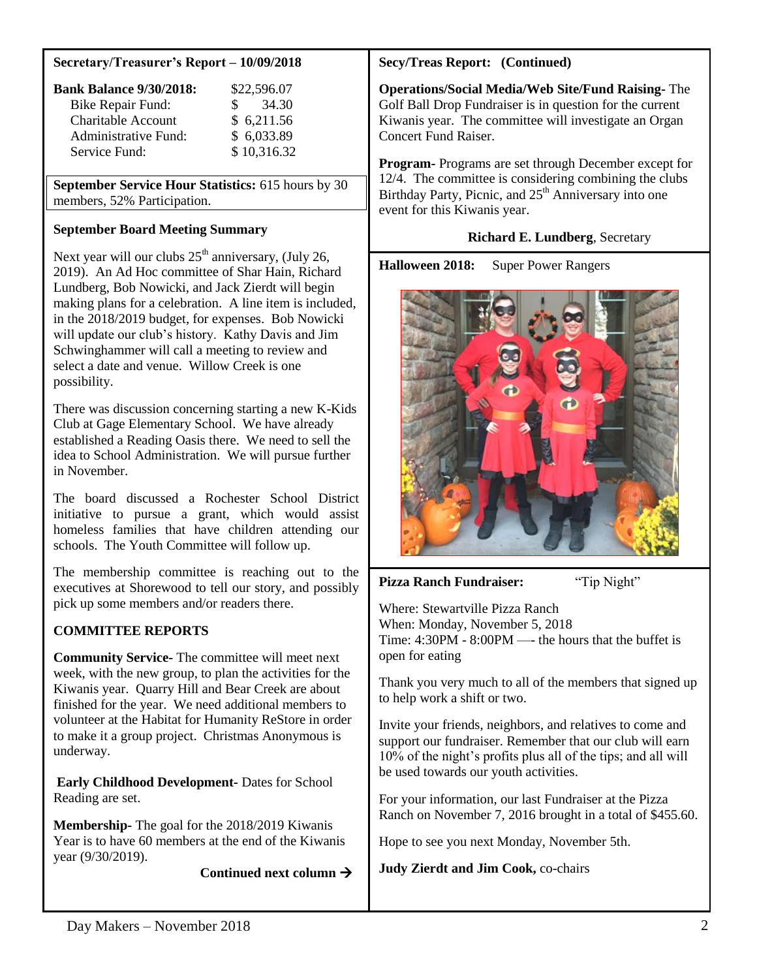#### **Secretary/Treasurer's Report – 10/09/2018**

| <b>Bank Balance 9/30/2018:</b> | \$22,596.07  |
|--------------------------------|--------------|
| <b>Bike Repair Fund:</b>       | 34.30<br>SS. |
| Charitable Account             | \$6,211.56   |
| <b>Administrative Fund:</b>    | \$6,033.89   |
| Service Fund:                  | \$10,316.32  |

**September Service Hour Statistics:** 615 hours by 30 members, 52% Participation.

## **September Board Meeting Summary**

Next year will our clubs  $25<sup>th</sup>$  anniversary, (July 26, 2019). An Ad Hoc committee of Shar Hain, Richard Lundberg, Bob Nowicki, and Jack Zierdt will begin making plans for a celebration. A line item is included, in the 2018/2019 budget, for expenses. Bob Nowicki will update our club's history. Kathy Davis and Jim Schwinghammer will call a meeting to review and select a date and venue. Willow Creek is one possibility.

There was discussion concerning starting a new K-Kids Club at Gage Elementary School. We have already established a Reading Oasis there. We need to sell the idea to School Administration. We will pursue further in November.

The board discussed a Rochester School District initiative to pursue a grant, which would assist homeless families that have children attending our schools. The Youth Committee will follow up.

The membership committee is reaching out to the executives at Shorewood to tell our story, and possibly pick up some members and/or readers there.

## **COMMITTEE REPORTS**

**Community Service-** The committee will meet next week, with the new group, to plan the activities for the Kiwanis year. Quarry Hill and Bear Creek are about finished for the year. We need additional members to volunteer at the Habitat for Humanity ReStore in order to make it a group project. Christmas Anonymous is underway.

**Early Childhood Development-** Dates for School Reading are set.

**Membership-** The goal for the 2018/2019 Kiwanis Year is to have 60 members at the end of the Kiwanis year (9/30/2019).

 **Continued next column**

## **Secy/Treas Report: (Continued)**

**Operations/Social Media/Web Site/Fund Raising-** The Golf Ball Drop Fundraiser is in question for the current Kiwanis year. The committee will investigate an Organ Concert Fund Raiser.

**Program-** Programs are set through December except for 12/4. The committee is considering combining the clubs Birthday Party, Picnic, and  $25<sup>th</sup>$  Anniversary into one event for this Kiwanis year.

## **Richard E. Lundberg**, Secretary

**Halloween 2018:** Super Power Rangers



## **Pizza Ranch Fundraiser:** "Tip Night"

Where: Stewartville Pizza Ranch When: Monday, November 5, 2018 Time: 4:30PM - 8:00PM —- the hours that the buffet is open for eating

Thank you very much to all of the members that signed up to help work a shift or two.

Invite your friends, neighbors, and relatives to come and support our fundraiser. Remember that our club will earn 10% of the night's profits plus all of the tips; and all will be used towards our youth activities.

For your information, our last Fundraiser at the Pizza Ranch on November 7, 2016 brought in a total of \$455.60.

Hope to see you next Monday, November 5th.

**Judy Zierdt and Jim Cook,** co-chairs